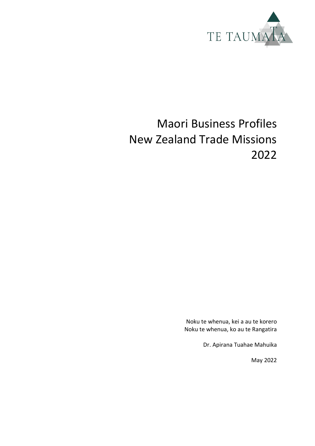

# Maori Business Profiles New Zealand Trade Missions 2022

Noku te whenua, kei a au te korero Noku te whenua, ko au te Rangatira

Dr. Apirana Tuahae Mahuika

May 2022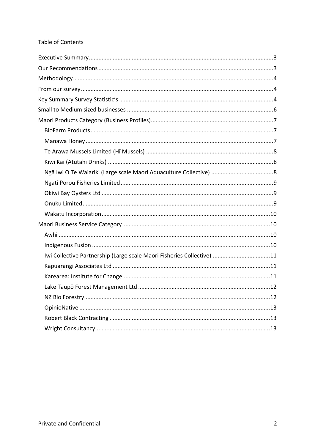#### Table of Contents

| Iwi Collective Partnership (Large scale Maori Fisheries Collective) 11 |  |
|------------------------------------------------------------------------|--|
|                                                                        |  |
|                                                                        |  |
|                                                                        |  |
|                                                                        |  |
|                                                                        |  |
|                                                                        |  |
|                                                                        |  |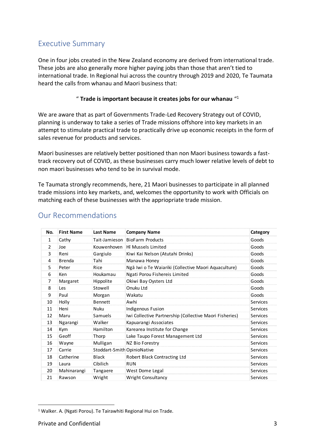### <span id="page-2-0"></span>Executive Summary

One in four jobs created in the New Zealand economy are derived from international trade. These jobs are also generally more higher paying jobs than those that aren't tied to international trade. In Regional hui across the country through 2019 and 2020, Te Taumata heard the calls from whanau and Maori business that:

#### " **Trade is important because it creates jobs for our whanau** "<sup>1</sup>

We are aware that as part of Governments Trade-Led Recovery Strategy out of COVID, planning is underway to take a series of Trade missions offshore into key markets in an attempt to stimulate practical trade to practically drive up economic receipts in the form of sales revenue for products and services.

Maori businesses are relatively better positioned than non Maori business towards a fasttrack recovery out of COVID, as these businesses carry much lower relative levels of debt to non maori businesses who tend to be in survival mode.

Te Taumata strongly recommends, here, 21 Maori businesses to participate in all planned trade missions into key markets, and, welcomes the opportunity to work with Officials on matching each of these businesses with the appriopriate trade mission.

| No.            | <b>First Name</b> | <b>Last Name</b>            | <b>Company Name</b>                                     | Category        |
|----------------|-------------------|-----------------------------|---------------------------------------------------------|-----------------|
| 1              | Cathy             | Tait-Jamieson               | <b>BioFarm Products</b>                                 | Goods           |
| $\overline{2}$ | Joe               | Kouwenhoven                 | Hi Mussels Limited                                      | Goods           |
| 3              | Reni              | Gargiulo                    | Kiwi Kai Nelson (Atutahi Drinks)                        | Goods           |
| 4              | <b>Brenda</b>     | Tahi                        | Manawa Honey                                            | Goods           |
| 5              | Peter             | Rice                        | Ngā Iwi o Te Waiariki (Collective Maori Aquaculture)    | Goods           |
| 6              | Ken               | Houkamau                    | Ngati Porou Fishereis Limited                           | Goods           |
| $\overline{7}$ | Margaret          | Hippolite                   | Okiwi Bay Oysters Ltd                                   | Goods           |
| 8              | Les               | Stowell                     | Onuku Ltd                                               | Goods           |
| 9              | Paul              | Morgan                      | Wakatu                                                  | Goods           |
| 10             | Holly             | <b>Bennett</b>              | Awhi                                                    | <b>Services</b> |
| 11             | Heni              | <b>Nuku</b>                 | Indigenous Fusion                                       | <b>Services</b> |
| 12             | Maru              | Samuels                     | Iwi Collective Partnership (Collective Maori Fisheries) | <b>Services</b> |
| 13             | Ngarangi          | Walker                      | Kapuarangi Associates                                   | <b>Services</b> |
| 14             | <b>Kym</b>        | Hamilton                    | Karearea Institute for Change                           | <b>Services</b> |
| 15             | Geoff             | Thorp                       | Lake Taupo Forest Management Ltd                        | <b>Services</b> |
| 16             | Wayne             | Mulligan                    | NZ Bio Forestry                                         | <b>Services</b> |
| 17             | Carrie            | Stoddart-Smith OpinioNative |                                                         | <b>Services</b> |
| 18             | Catherine         | <b>Black</b>                | Robert Black Contracting Ltd                            | <b>Services</b> |
| 19             | Laura             | Cibilich                    | <b>RUN</b>                                              | <b>Services</b> |
| 20             | Mahinarangi       | Tangaere                    | West Dome Legal                                         | <b>Services</b> |
| 21             | Rawson            | Wright                      | Wright Consultancy                                      | <b>Services</b> |

#### <span id="page-2-1"></span>Our Recommendations

<sup>&</sup>lt;sup>1</sup> Walker. A. (Ngati Porou). Te Tairawhiti Regional Hui on Trade.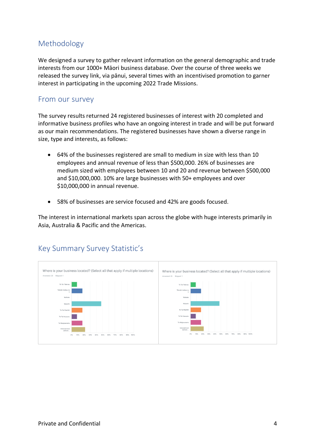## <span id="page-3-0"></span>Methodology

We designed a survey to gather relevant information on the general demographic and trade interests from our 1000+ Māori business database. Over the course of three weeks we released the survey link, via pānui, several times with an incentivised promotion to garner interest in participating in the upcoming 2022 Trade Missions.

#### <span id="page-3-1"></span>From our survey

The survey results returned 24 registered businesses of interest with 20 completed and informative business profiles who have an ongoing interest in trade and will be put forward as our main recommendations. The registered businesses have shown a diverse range in size, type and interests, as follows:

- 64% of the businesses registered are small to medium in size with less than 10 employees and annual revenue of less than \$500,000. 26% of businesses are medium sized with employees between 10 and 20 and revenue between \$500,000 and \$10,000,000. 10% are large businesses with 50+ employees and over \$10,000,000 in annual revenue.
- 58% of businesses are service focused and 42% are goods focused.

The interest in international markets span across the globe with huge interests primarily in Asia, Australia & Pacific and the Americas.



#### <span id="page-3-2"></span>Key Summary Survey Statistic's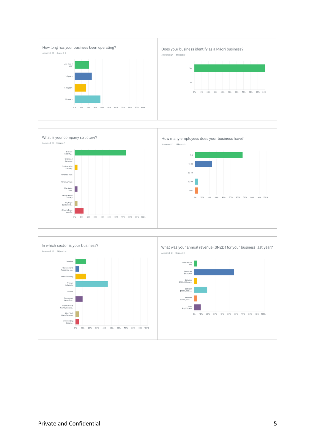



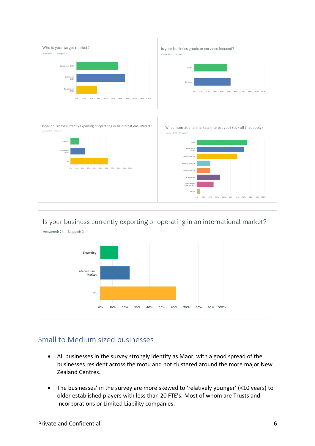



### <span id="page-5-0"></span>Small to Medium sized businesses

- All businesses in the survey strongly identify as Maori with a good spread of the businesses resident across the motu and not clustered around the more major New Zealand Centres.
- The businesses' in the survey are more skewed to 'relatively younger' (<10 years) to older established players with less than 20 FTE's. Most of whom are Trusts and Incorporations or Limited Liability companies.